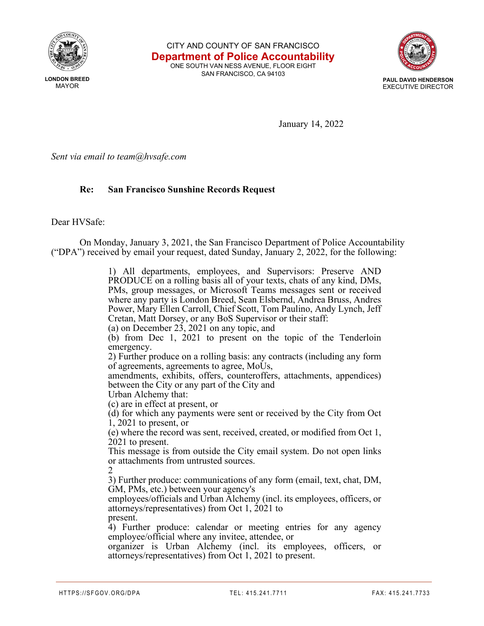

**LONDON BREED MAYOR** 

CITY AND COUNTY OF SAN FRANCISCO **Department of Police Accountability** ONE SOUTH VAN NESS AVENUE, FLOOR EIGHT

SAN FRANCISCO, CA 94103



January 14, 2022

*Sent via email to team@hvsafe.com*

## **Re: San Francisco Sunshine Records Request**

Dear HVSafe:

On Monday, January 3, 2021, the San Francisco Department of Police Accountability ("DPA") received by email your request, dated Sunday, January 2, 2022, for the following:

> 1) All departments, employees, and Supervisors: Preserve AND PRODUCE on a rolling basis all of your texts, chats of any kind, DMs, PMs, group messages, or Microsoft Teams messages sent or received where any party is London Breed, Sean Elsbernd, Andrea Bruss, Andres Power, Mary Ellen Carroll, Chief Scott, Tom Paulino, Andy Lynch, Jeff Cretan, Matt Dorsey, or any BoS Supervisor or their staff: (a) on December 23, 2021 on any topic, and (b) from Dec 1, 2021 to present on the topic of the Tenderloin emergency. 2) Further produce on a rolling basis: any contracts (including any form of agreements, agreements to agree, MoUs, amendments, exhibits, offers, counteroffers, attachments, appendices) between the City or any part of the City and Urban Alchemy that: (c) are in effect at present, or (d) for which any payments were sent or received by the City from Oct 1, 2021 to present, or (e) where the record was sent, received, created, or modified from Oct 1, 2021 to present. This message is from outside the City email system. Do not open links or attachments from untrusted sources. 2 3) Further produce: communications of any form (email, text, chat, DM, GM, PMs, etc.) between your agency's employees/officials and Urban Alchemy (incl. its employees, officers, or attorneys/representatives) from Oct 1, 2021 to present. 4) Further produce: calendar or meeting entries for any agency employee/official where any invitee, attendee, or

organizer is Urban Alchemy (incl. its employees, officers, or attorneys/representatives) from Oct 1, 2021 to present.